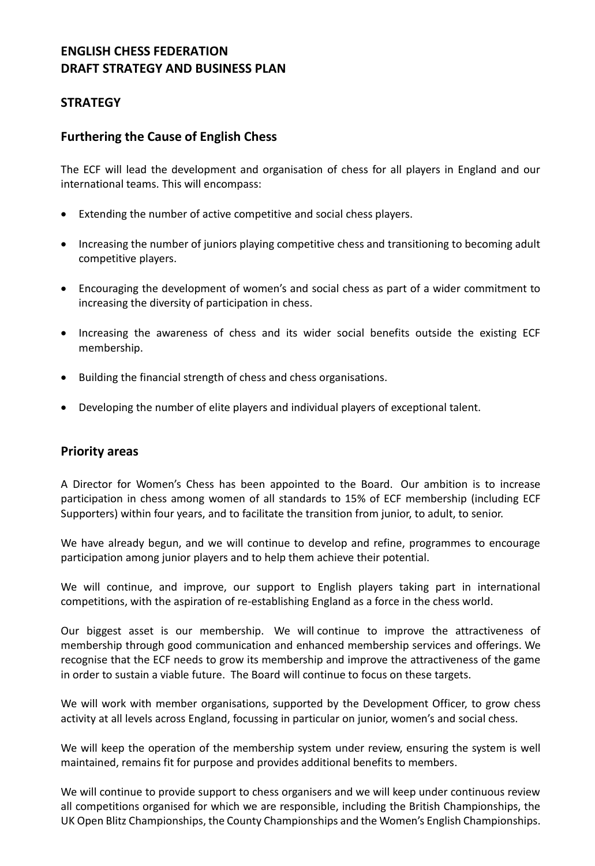# **ENGLISH CHESS FEDERATION DRAFT STRATEGY AND BUSINESS PLAN**

# **STRATEGY**

# **Furthering the Cause of English Chess**

The ECF will lead the development and organisation of chess for all players in England and our international teams. This will encompass:

- Extending the number of active competitive and social chess players.
- Increasing the number of juniors playing competitive chess and transitioning to becoming adult competitive players.
- Encouraging the development of women's and social chess as part of a wider commitment to increasing the diversity of participation in chess.
- Increasing the awareness of chess and its wider social benefits outside the existing ECF membership.
- Building the financial strength of chess and chess organisations.
- Developing the number of elite players and individual players of exceptional talent.

### **Priority areas**

A Director for Women's Chess has been appointed to the Board. Our ambition is to increase participation in chess among women of all standards to 15% of ECF membership (including ECF Supporters) within four years, and to facilitate the transition from junior, to adult, to senior.

We have already begun, and we will continue to develop and refine, programmes to encourage participation among junior players and to help them achieve their potential.

We will continue, and improve, our support to English players taking part in international competitions, with the aspiration of re-establishing England as a force in the chess world.

Our biggest asset is our membership. We will continue to improve the attractiveness of membership through good communication and enhanced membership services and offerings. We recognise that the ECF needs to grow its membership and improve the attractiveness of the game in order to sustain a viable future. The Board will continue to focus on these targets.

We will work with member organisations, supported by the Development Officer, to grow chess activity at all levels across England, focussing in particular on junior, women's and social chess.

We will keep the operation of the membership system under review, ensuring the system is well maintained, remains fit for purpose and provides additional benefits to members.

We will continue to provide support to chess organisers and we will keep under continuous review all competitions organised for which we are responsible, including the British Championships, the UK Open Blitz Championships, the County Championships and the Women's English Championships.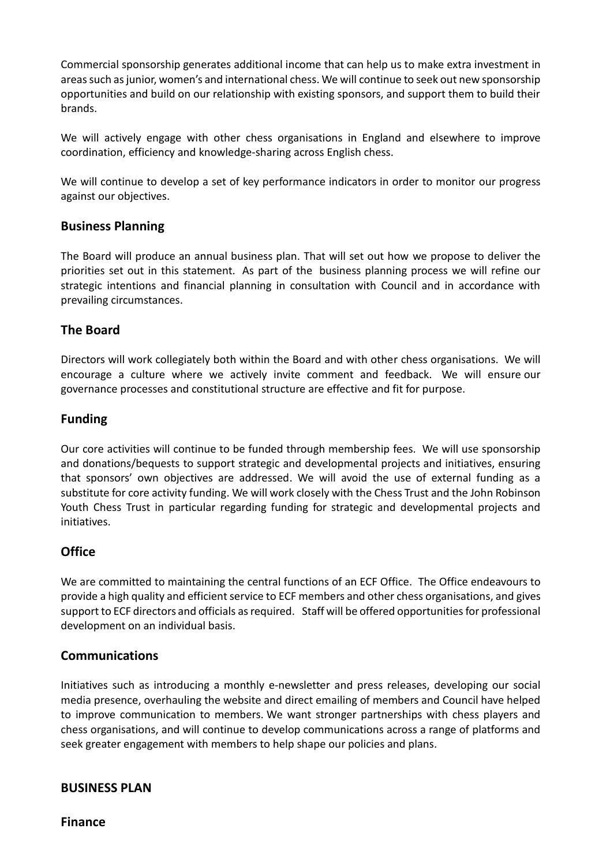Commercial sponsorship generates additional income that can help us to make extra investment in areas such as junior, women's and international chess. We will continue to seek out new sponsorship opportunities and build on our relationship with existing sponsors, and support them to build their brands.

We will actively engage with other chess organisations in England and elsewhere to improve coordination, efficiency and knowledge-sharing across English chess.

We will continue to develop a set of key performance indicators in order to monitor our progress against our objectives.

# **Business Planning**

The Board will produce an annual business plan. That will set out how we propose to deliver the priorities set out in this statement. As part of the business planning process we will refine our strategic intentions and financial planning in consultation with Council and in accordance with prevailing circumstances.

# **The Board**

Directors will work collegiately both within the Board and with other chess organisations. We will encourage a culture where we actively invite comment and feedback. We will ensure our governance processes and constitutional structure are effective and fit for purpose.

# **Funding**

Our core activities will continue to be funded through membership fees. We will use sponsorship and donations/bequests to support strategic and developmental projects and initiatives, ensuring that sponsors' own objectives are addressed. We will avoid the use of external funding as a substitute for core activity funding. We will work closely with the Chess Trust and the John Robinson Youth Chess Trust in particular regarding funding for strategic and developmental projects and initiatives.

# **Office**

We are committed to maintaining the central functions of an ECF Office. The Office endeavours to provide a high quality and efficient service to ECF members and other chess organisations, and gives support to ECF directors and officials as required. Staff will be offered opportunities for professional development on an individual basis.

### **Communications**

Initiatives such as introducing a monthly e-newsletter and press releases, developing our social media presence, overhauling the website and direct emailing of members and Council have helped to improve communication to members. We want stronger partnerships with chess players and chess organisations, and will continue to develop communications across a range of platforms and seek greater engagement with members to help shape our policies and plans.

### **BUSINESS PLAN**

**Finance**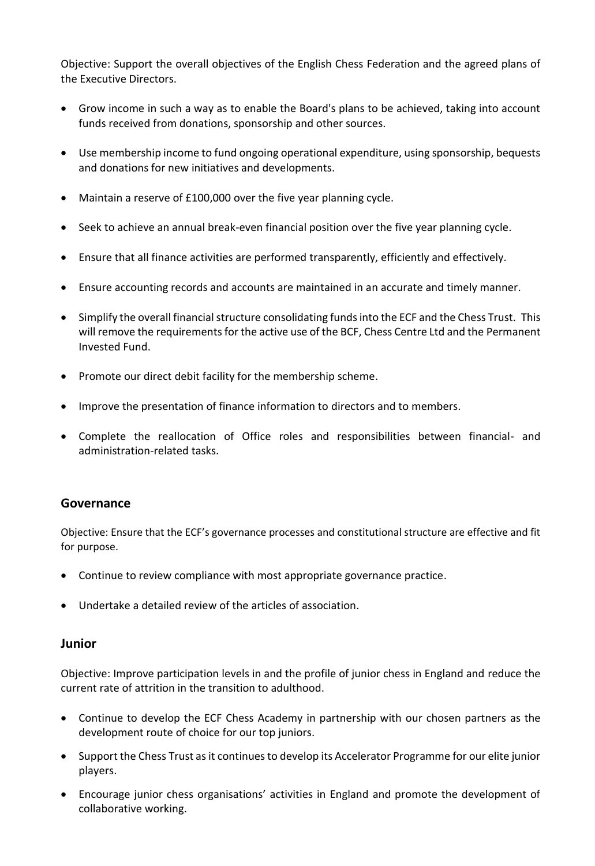Objective: Support the overall objectives of the English Chess Federation and the agreed plans of the Executive Directors.

- Grow income in such a way as to enable the Board's plans to be achieved, taking into account funds received from donations, sponsorship and other sources.
- Use membership income to fund ongoing operational expenditure, using sponsorship, bequests and donations for new initiatives and developments.
- Maintain a reserve of £100,000 over the five year planning cycle.
- Seek to achieve an annual break-even financial position over the five year planning cycle.
- Ensure that all finance activities are performed transparently, efficiently and effectively.
- Ensure accounting records and accounts are maintained in an accurate and timely manner.
- Simplify the overall financial structure consolidating funds into the ECF and the Chess Trust. This will remove the requirements for the active use of the BCF, Chess Centre Ltd and the Permanent Invested Fund.
- Promote our direct debit facility for the membership scheme.
- Improve the presentation of finance information to directors and to members.
- Complete the reallocation of Office roles and responsibilities between financial- and administration-related tasks.

### **Governance**

Objective: Ensure that the ECF's governance processes and constitutional structure are effective and fit for purpose.

- Continue to review compliance with most appropriate governance practice.
- Undertake a detailed review of the articles of association.

#### **Junior**

Objective: Improve participation levels in and the profile of junior chess in England and reduce the current rate of attrition in the transition to adulthood.

- Continue to develop the ECF Chess Academy in partnership with our chosen partners as the development route of choice for our top juniors.
- Support the Chess Trust as it continues to develop its Accelerator Programme for our elite junior players.
- Encourage junior chess organisations' activities in England and promote the development of collaborative working.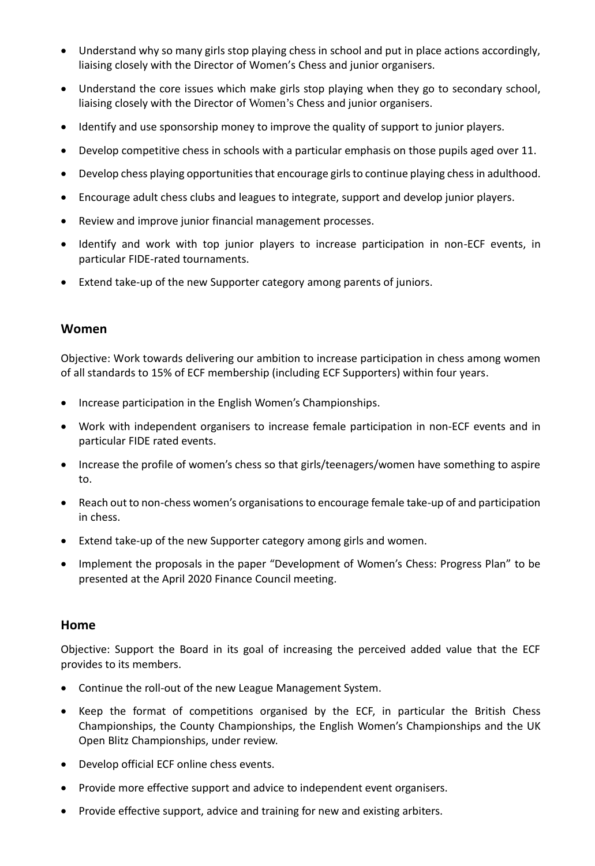- Understand why so many girls stop playing chess in school and put in place actions accordingly, liaising closely with the Director of Women's Chess and junior organisers.
- Understand the core issues which make girls stop playing when they go to secondary school, liaising closely with the Director of Women's Chess and junior organisers.
- Identify and use sponsorship money to improve the quality of support to junior players.
- Develop competitive chess in schools with a particular emphasis on those pupils aged over 11.
- Develop chess playing opportunities that encourage girls to continue playing chess in adulthood.
- Encourage adult chess clubs and leagues to integrate, support and develop junior players.
- Review and improve junior financial management processes.
- Identify and work with top junior players to increase participation in non-ECF events, in particular FIDE-rated tournaments.
- Extend take-up of the new Supporter category among parents of juniors.

### **Women**

Objective: Work towards delivering our ambition to increase participation in chess among women of all standards to 15% of ECF membership (including ECF Supporters) within four years.

- Increase participation in the English Women's Championships.
- Work with independent organisers to increase female participation in non-ECF events and in particular FIDE rated events.
- Increase the profile of women's chess so that girls/teenagers/women have something to aspire to.
- Reach out to non-chess women's organisations to encourage female take-up of and participation in chess.
- Extend take-up of the new Supporter category among girls and women.
- Implement the proposals in the paper "Development of Women's Chess: Progress Plan" to be presented at the April 2020 Finance Council meeting.

#### **Home**

Objective: Support the Board in its goal of increasing the perceived added value that the ECF provides to its members.

- Continue the roll-out of the new League Management System.
- Keep the format of competitions organised by the ECF, in particular the British Chess Championships, the County Championships, the English Women's Championships and the UK Open Blitz Championships, under review.
- Develop official ECF online chess events.
- Provide more effective support and advice to independent event organisers.
- Provide effective support, advice and training for new and existing arbiters.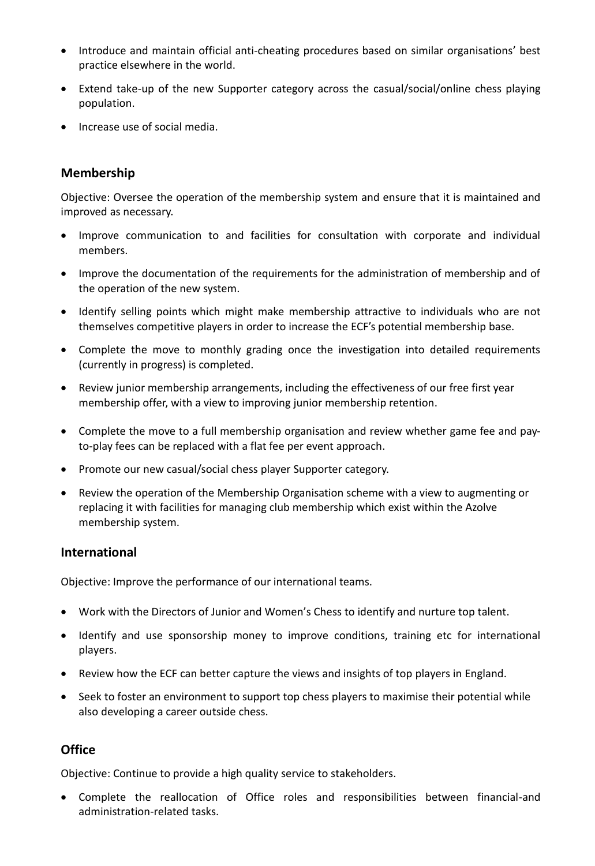- Introduce and maintain official anti-cheating procedures based on similar organisations' best practice elsewhere in the world.
- Extend take-up of the new Supporter category across the casual/social/online chess playing population.
- Increase use of social media.

# **Membership**

Objective: Oversee the operation of the membership system and ensure that it is maintained and improved as necessary.

- Improve communication to and facilities for consultation with corporate and individual members.
- Improve the documentation of the requirements for the administration of membership and of the operation of the new system.
- Identify selling points which might make membership attractive to individuals who are not themselves competitive players in order to increase the ECF's potential membership base.
- Complete the move to monthly grading once the investigation into detailed requirements (currently in progress) is completed.
- Review junior membership arrangements, including the effectiveness of our free first year membership offer, with a view to improving junior membership retention.
- Complete the move to a full membership organisation and review whether game fee and payto-play fees can be replaced with a flat fee per event approach.
- Promote our new casual/social chess player Supporter category.
- Review the operation of the Membership Organisation scheme with a view to augmenting or replacing it with facilities for managing club membership which exist within the Azolve membership system.

### **International**

Objective: Improve the performance of our international teams.

- Work with the Directors of Junior and Women's Chess to identify and nurture top talent.
- Identify and use sponsorship money to improve conditions, training etc for international players.
- Review how the ECF can better capture the views and insights of top players in England.
- Seek to foster an environment to support top chess players to maximise their potential while also developing a career outside chess.

### **Office**

Objective: Continue to provide a high quality service to stakeholders.

• Complete the reallocation of Office roles and responsibilities between financial-and administration-related tasks.